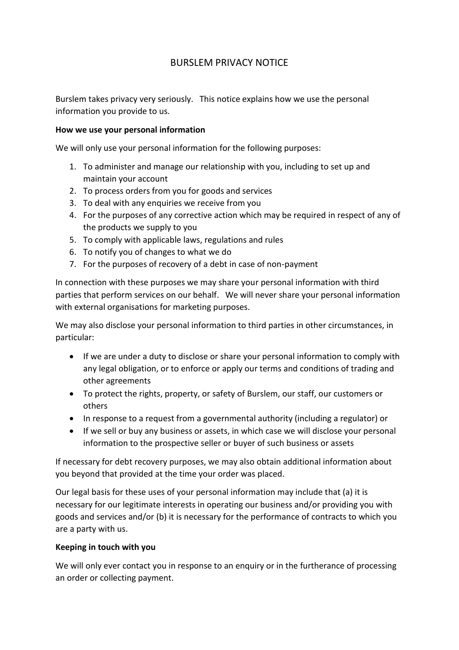# BURSLEM PRIVACY NOTICE

Burslem takes privacy very seriously. This notice explains how we use the personal information you provide to us.

### **How we use your personal information**

We will only use your personal information for the following purposes:

- 1. To administer and manage our relationship with you, including to set up and maintain your account
- 2. To process orders from you for goods and services
- 3. To deal with any enquiries we receive from you
- 4. For the purposes of any corrective action which may be required in respect of any of the products we supply to you
- 5. To comply with applicable laws, regulations and rules
- 6. To notify you of changes to what we do
- 7. For the purposes of recovery of a debt in case of non-payment

In connection with these purposes we may share your personal information with third parties that perform services on our behalf. We will never share your personal information with external organisations for marketing purposes.

We may also disclose your personal information to third parties in other circumstances, in particular:

- If we are under a duty to disclose or share your personal information to comply with any legal obligation, or to enforce or apply our terms and conditions of trading and other agreements
- To protect the rights, property, or safety of Burslem, our staff, our customers or others
- In response to a request from a governmental authority (including a regulator) or
- If we sell or buy any business or assets, in which case we will disclose your personal information to the prospective seller or buyer of such business or assets

If necessary for debt recovery purposes, we may also obtain additional information about you beyond that provided at the time your order was placed.

Our legal basis for these uses of your personal information may include that (a) it is necessary for our legitimate interests in operating our business and/or providing you with goods and services and/or (b) it is necessary for the performance of contracts to which you are a party with us.

# **Keeping in touch with you**

We will only ever contact you in response to an enquiry or in the furtherance of processing an order or collecting payment.